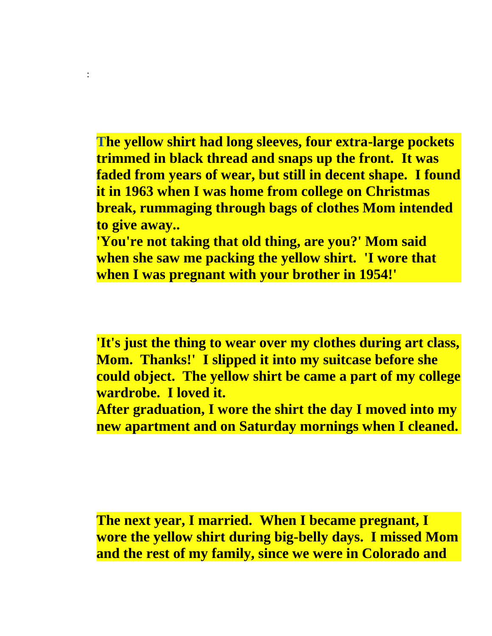**The yellow shirt had long sleeves, four extra-large pockets trimmed in black thread and snaps up the front. It was faded from years of wear, but still in decent shape. I found it in 1963 when I was home from college on Christmas break, rummaging through bags of clothes Mom intended to give away..**

:

**'You're not taking that old thing, are you?' Mom said when she saw me packing the yellow shirt. 'I wore that when I was pregnant with your brother in 1954!'**

**'It's just the thing to wear over my clothes during art class, Mom. Thanks!' I slipped it into my suitcase before she could object. The yellow shirt be came a part of my college wardrobe. I loved it.**

**After graduation, I wore the shirt the day I moved into my new apartment and on Saturday mornings when I cleaned.**

**The next year, I married. When I became pregnant, I wore the yellow shirt during big-belly days. I missed Mom and the rest of my family, since we were in Colorado and**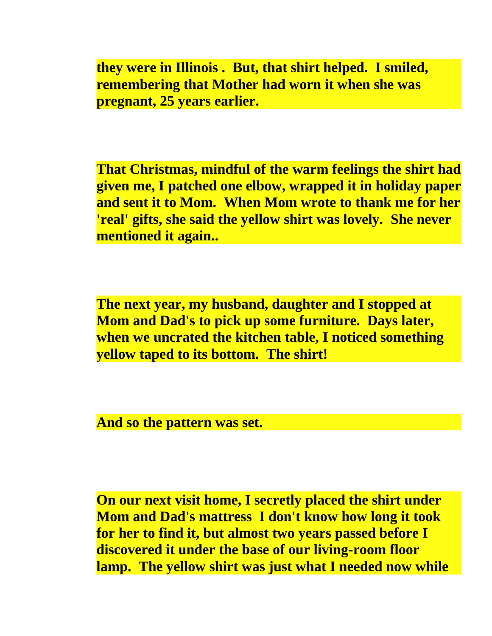**they were in Illinois . But, that shirt helped. I smiled, remembering that Mother had worn it when she was pregnant, 25 years earlier.**

**That Christmas, mindful of the warm feelings the shirt had given me, I patched one elbow, wrapped it in holiday paper and sent it to Mom. When Mom wrote to thank me for her 'real' gifts, she said the yellow shirt was lovely. She never mentioned it again..**

**The next year, my husband, daughter and I stopped at Mom and Dad's to pick up some furniture. Days later, when we uncrated the kitchen table, I noticed something yellow taped to its bottom. The shirt!**

**And so the pattern was set.**

**On our next visit home, I secretly placed the shirt under Mom and Dad's mattress I don't know how long it took for her to find it, but almost two years passed before I discovered it under the base of our living-room floor lamp. The yellow shirt was just what I needed now while**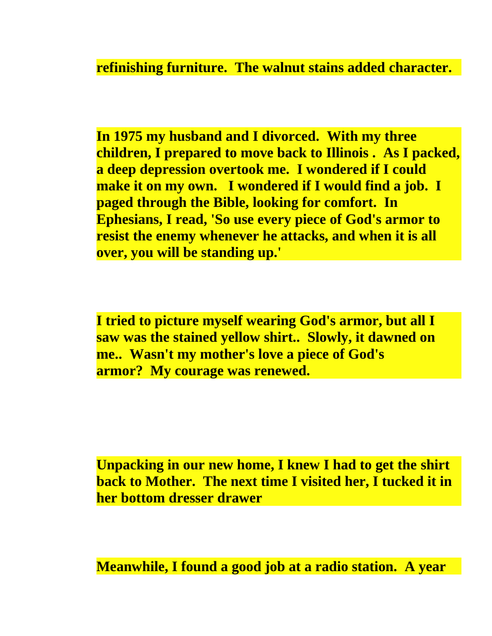**refinishing furniture. The walnut stains added character.**

**In 1975 my husband and I divorced. With my three children, I prepared to move back to Illinois . As I packed, a deep depression overtook me. I wondered if I could make it on my own. I wondered if I would find a job. I paged through the Bible, looking for comfort. In Ephesians, I read, 'So use every piece of God's armor to resist the enemy whenever he attacks, and when it is all over, you will be standing up.'**

**I tried to picture myself wearing God's armor, but all I saw was the stained yellow shirt.. Slowly, it dawned on me.. Wasn't my mother's love a piece of God's armor? My courage was renewed.**

**Unpacking in our new home, I knew I had to get the shirt back to Mother. The next time I visited her, I tucked it in her bottom dresser drawer**

**Meanwhile, I found a good job at a radio station. A year**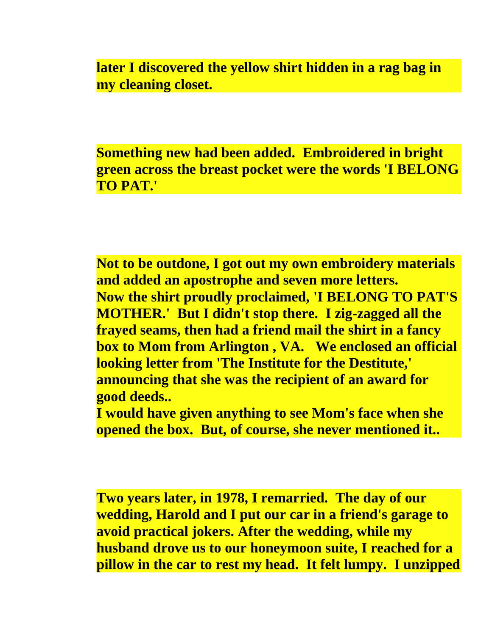**later I discovered the yellow shirt hidden in a rag bag in my cleaning closet.**

**Something new had been added. Embroidered in bright green across the breast pocket were the words 'I BELONG TO PAT.'**

**Not to be outdone, I got out my own embroidery materials and added an apostrophe and seven more letters. Now the shirt proudly proclaimed, 'I BELONG TO PAT'S MOTHER.' But I didn't stop there. I zig-zagged all the frayed seams, then had a friend mail the shirt in a fancy box to Mom from Arlington , VA. We enclosed an official looking letter from 'The Institute for the Destitute,' announcing that she was the recipient of an award for good deeds..**

**I would have given anything to see Mom's face when she opened the box. But, of course, she never mentioned it..**

**Two years later, in 1978, I remarried. The day of our wedding, Harold and I put our car in a friend's garage to avoid practical jokers. After the wedding, while my husband drove us to our honeymoon suite, I reached for a pillow in the car to rest my head. It felt lumpy. I unzipped**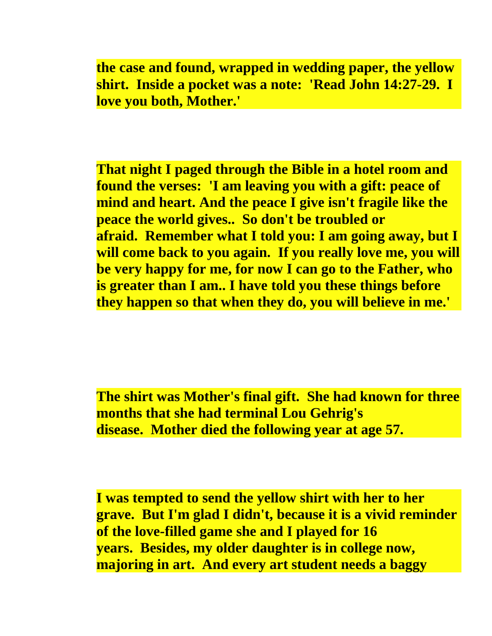**the case and found, wrapped in wedding paper, the yellow shirt. Inside a pocket was a note: 'Read John 14:27-29. I love you both, Mother.'**

**That night I paged through the Bible in a hotel room and found the verses: 'I am leaving you with a gift: peace of mind and heart. And the peace I give isn't fragile like the peace the world gives.. So don't be troubled or afraid. Remember what I told you: I am going away, but I will come back to you again. If you really love me, you will be very happy for me, for now I can go to the Father, who is greater than I am.. I have told you these things before they happen so that when they do, you will believe in me.'**

**The shirt was Mother's final gift. She had known for three months that she had terminal Lou Gehrig's disease. Mother died the following year at age 57.**

**I was tempted to send the yellow shirt with her to her grave. But I'm glad I didn't, because it is a vivid reminder of the love-filled game she and I played for 16 years. Besides, my older daughter is in college now, majoring in art. And every art student needs a baggy**